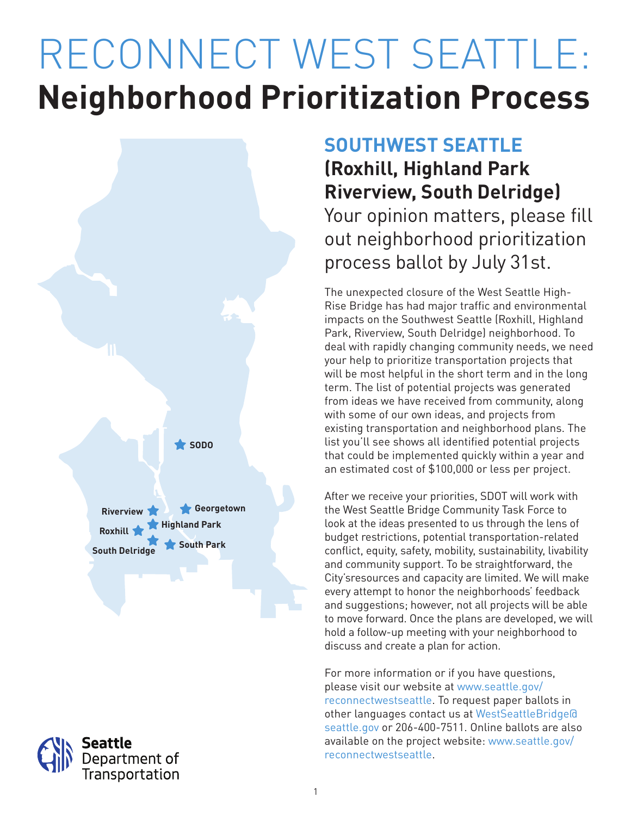# RECONNECT WEST SEATTLE: **Neighborhood Prioritization Process**





## **SOUTHWEST SEATTLE**

**(Roxhill, Highland Park Riverview, South Delridge)** Your opinion matters, please fill out neighborhood prioritization process ballot by July 31st.

The unexpected closure of the West Seattle High-Rise Bridge has had major traffic and environmental impacts on the Southwest Seattle (Roxhill, Highland Park, Riverview, South Delridge) neighborhood. To deal with rapidly changing community needs, we need your help to prioritize transportation projects that will be most helpful in the short term and in the long term. The list of potential projects was generated from ideas we have received from community, along with some of our own ideas, and projects from existing transportation and neighborhood plans. The list you'll see shows all identified potential projects that could be implemented quickly within a year and an estimated cost of \$100,000 or less per project.

After we receive your priorities, SDOT will work with the West Seattle Bridge Community Task Force to look at the ideas presented to us through the lens of budget restrictions, potential transportation-related conflict, equity, safety, mobility, sustainability, livability and community support. To be straightforward, the City'sresources and capacity are limited. We will make every attempt to honor the neighborhoods' feedback and suggestions; however, not all projects will be able to move forward. Once the plans are developed, we will hold a follow-up meeting with your neighborhood to discuss and create a plan for action.

For more information or if you have questions, please visit our website at www.seattle.gov/ reconnectwestseattle. To request paper ballots in other languages contact us at WestSeattleBridge@ seattle.gov or 206-400-7511. Online ballots are also available on the project website: www.seattle.gov/ reconnectwestseattle.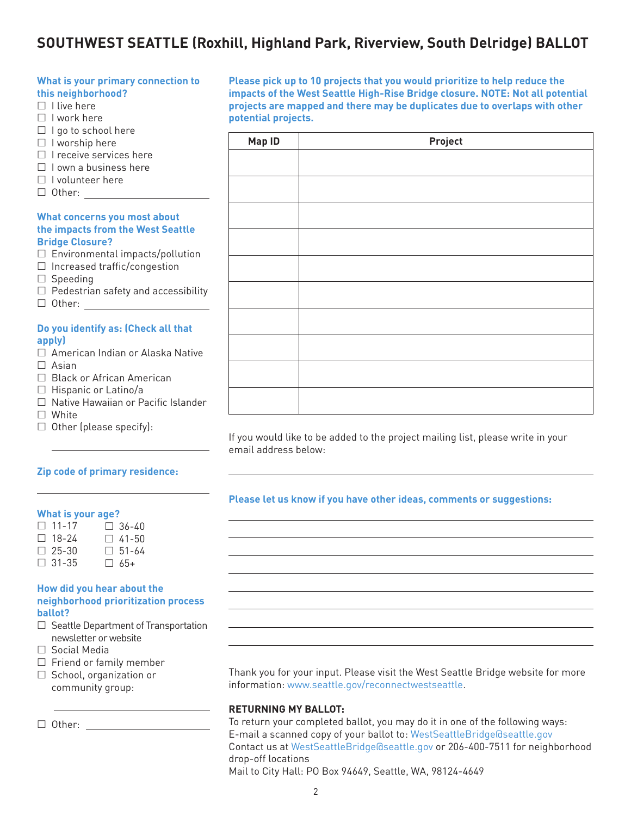### **SOUTHWEST SEATTLE (Roxhill, Highland Park, Riverview, South Delridge) BALLOT**

#### **What is your primary connection to this neighborhood?**  $\Box$  I live here  $\Box$  I work here  $\Box$  I go to school here  $\Box$  I worship here  $\Box$  I receive services here  $\Box$  I own a business here  $\Box$  I volunteer here □ Other: \_\_\_\_\_\_ **What concerns you most about the impacts from the West Seattle Bridge Closure?**  $\square$  Environmental impacts/pollution  $\Box$  Increased traffic/congestion  $\square$  Speeding  $\Box$  Pedestrian safety and accessibility Other: **Do you identify as: (Check all that apply)** □ American Indian or Alaska Native

- $\Box$  Asian
- □ Black or African American
- $\Box$  Hispanic or Latino/a
- □ Native Hawaiian or Pacific Islander
- □ White
- $\Box$  Other (please specify):

#### **Zip code of primary residence:**

#### **What is your age?**

| $\Box$ 11-17 |  | $\Box$ 36-40 |
|--------------|--|--------------|
| $\Box$ 18-24 |  | $\Box$ 41-50 |
| $\Box$ 25-30 |  | $\Box$ 51-64 |
| $\Box$ 31-35 |  | $\Box$ 65+   |

#### **How did you hear about the neighborhood prioritization process ballot?**

- $\Box$  Seattle Department of Transportation newsletter or website
- Social Media
- $\Box$  Friend or family member
- $\Box$  School, organization or community group:

Other:

**Please pick up to 10 projects that you would prioritize to help reduce the impacts of the West Seattle High-Rise Bridge closure. NOTE: Not all potential projects are mapped and there may be duplicates due to overlaps with other potential projects.**

| Map ID | Project |  |
|--------|---------|--|
|        |         |  |
|        |         |  |
|        |         |  |
|        |         |  |
|        |         |  |
|        |         |  |
|        |         |  |
|        |         |  |
|        |         |  |
|        |         |  |

If you would like to be added to the project mailing list, please write in your email address below:

#### **Please let us know if you have other ideas, comments or suggestions:**

Thank you for your input. Please visit the West Seattle Bridge website for more information: www.seattle.gov/reconnectwestseattle.

#### **RETURNING MY BALLOT:**

To return your completed ballot, you may do it in one of the following ways: E-mail a scanned copy of your ballot to: WestSeattleBridge@seattle.gov Contact us at WestSeattleBridge@seattle.gov or 206-400-7511 for neighborhood drop-off locations

Mail to City Hall: PO Box 94649, Seattle, WA, 98124-4649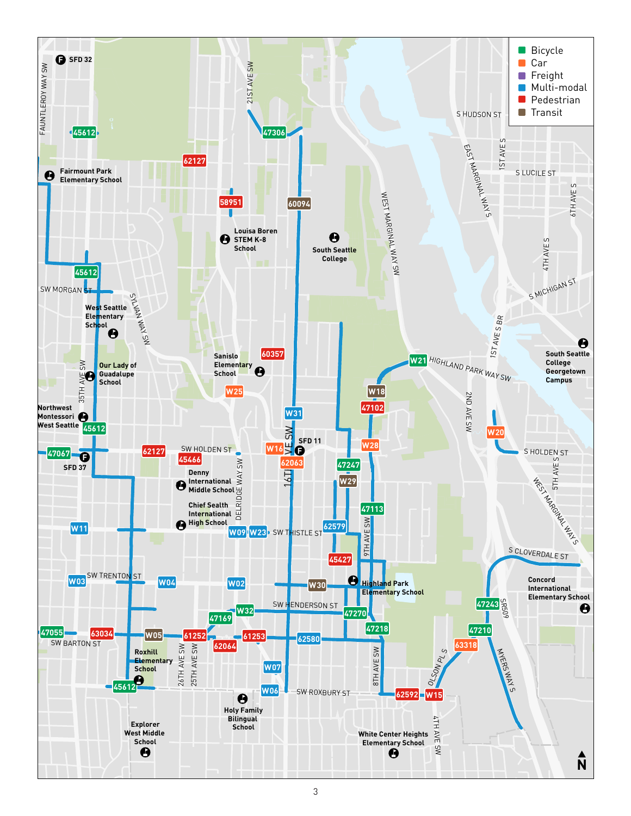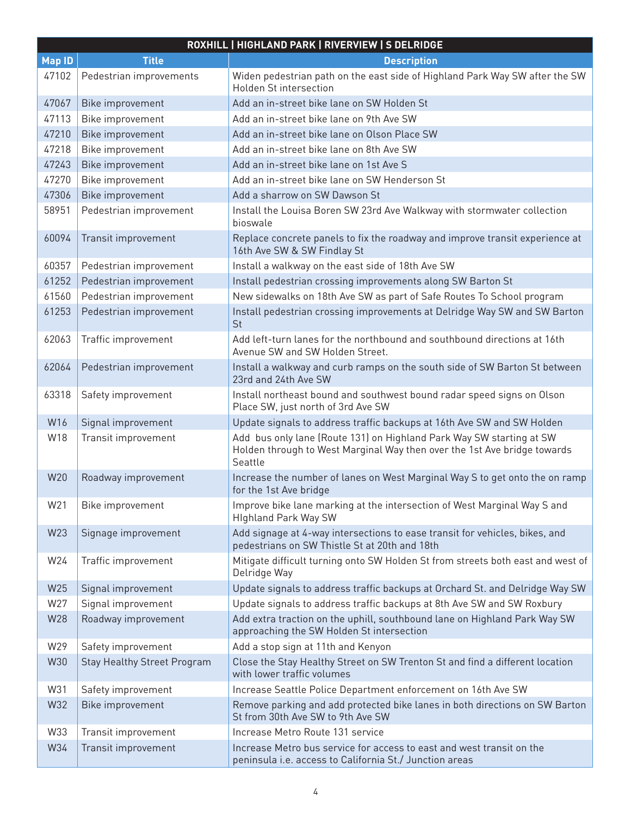|               |                                    | ROXHILL   HIGHLAND PARK   RIVERVIEW   S DELRIDGE                                                                                                            |
|---------------|------------------------------------|-------------------------------------------------------------------------------------------------------------------------------------------------------------|
| <b>Map ID</b> | <b>Title</b>                       | <b>Description</b>                                                                                                                                          |
| 47102         | Pedestrian improvements            | Widen pedestrian path on the east side of Highland Park Way SW after the SW<br><b>Holden St intersection</b>                                                |
| 47067         | Bike improvement                   | Add an in-street bike lane on SW Holden St                                                                                                                  |
| 47113         | Bike improvement                   | Add an in-street bike lane on 9th Ave SW                                                                                                                    |
| 47210         | Bike improvement                   | Add an in-street bike lane on Olson Place SW                                                                                                                |
| 47218         | Bike improvement                   | Add an in-street bike lane on 8th Ave SW                                                                                                                    |
| 47243         | Bike improvement                   | Add an in-street bike lane on 1st Ave S                                                                                                                     |
| 47270         | Bike improvement                   | Add an in-street bike lane on SW Henderson St                                                                                                               |
| 47306         | Bike improvement                   | Add a sharrow on SW Dawson St                                                                                                                               |
| 58951         | Pedestrian improvement             | Install the Louisa Boren SW 23rd Ave Walkway with stormwater collection<br>bioswale                                                                         |
| 60094         | Transit improvement                | Replace concrete panels to fix the roadway and improve transit experience at<br>16th Ave SW & SW Findlay St                                                 |
| 60357         | Pedestrian improvement             | Install a walkway on the east side of 18th Ave SW                                                                                                           |
| 61252         | Pedestrian improvement             | Install pedestrian crossing improvements along SW Barton St                                                                                                 |
| 61560         | Pedestrian improvement             | New sidewalks on 18th Ave SW as part of Safe Routes To School program                                                                                       |
| 61253         | Pedestrian improvement             | Install pedestrian crossing improvements at Delridge Way SW and SW Barton<br>St                                                                             |
| 62063         | Traffic improvement                | Add left-turn lanes for the northbound and southbound directions at 16th<br>Avenue SW and SW Holden Street.                                                 |
| 62064         | Pedestrian improvement             | Install a walkway and curb ramps on the south side of SW Barton St between<br>23rd and 24th Ave SW                                                          |
| 63318         | Safety improvement                 | Install northeast bound and southwest bound radar speed signs on Olson<br>Place SW, just north of 3rd Ave SW                                                |
| W16           | Signal improvement                 | Update signals to address traffic backups at 16th Ave SW and SW Holden                                                                                      |
| W18           | Transit improvement                | Add bus only lane (Route 131) on Highland Park Way SW starting at SW<br>Holden through to West Marginal Way then over the 1st Ave bridge towards<br>Seattle |
| W20           | Roadway improvement                | Increase the number of lanes on West Marginal Way S to get onto the on ramp<br>for the 1st Ave bridge                                                       |
| W21           | Bike improvement                   | Improve bike lane marking at the intersection of West Marginal Way S and<br><b>Highland Park Way SW</b>                                                     |
| W23           | Signage improvement                | Add signage at 4-way intersections to ease transit for vehicles, bikes, and<br>pedestrians on SW Thistle St at 20th and 18th                                |
| W24           | Traffic improvement                | Mitigate difficult turning onto SW Holden St from streets both east and west of<br>Delridge Way                                                             |
| W25           | Signal improvement                 | Update signals to address traffic backups at Orchard St. and Delridge Way SW                                                                                |
| W27           | Signal improvement                 | Update signals to address traffic backups at 8th Ave SW and SW Roxbury                                                                                      |
| W28           | Roadway improvement                | Add extra traction on the uphill, southbound lane on Highland Park Way SW<br>approaching the SW Holden St intersection                                      |
| W29           | Safety improvement                 | Add a stop sign at 11th and Kenyon                                                                                                                          |
| W30           | <b>Stay Healthy Street Program</b> | Close the Stay Healthy Street on SW Trenton St and find a different location<br>with lower traffic volumes                                                  |
| W31           | Safety improvement                 | Increase Seattle Police Department enforcement on 16th Ave SW                                                                                               |
| W32           | Bike improvement                   | Remove parking and add protected bike lanes in both directions on SW Barton<br>St from 30th Ave SW to 9th Ave SW                                            |
| W33           | Transit improvement                | Increase Metro Route 131 service                                                                                                                            |
| W34           | Transit improvement                | Increase Metro bus service for access to east and west transit on the<br>peninsula i.e. access to California St./ Junction areas                            |